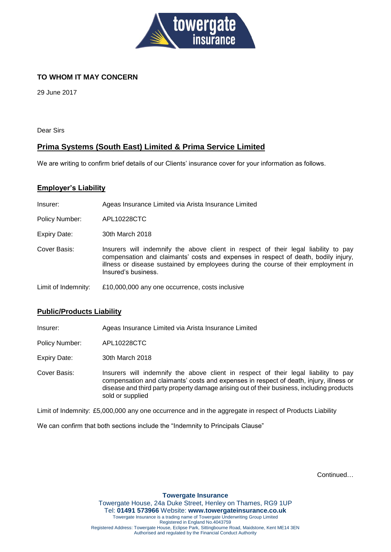

# **TO WHOM IT MAY CONCERN**

29 June 2017

Dear Sirs

## **Prima Systems (South East) Limited & Prima Service Limited**

We are writing to confirm brief details of our Clients' insurance cover for your information as follows.

#### **Employer's Liability**

Insurer: Ageas Insurance Limited via Arista Insurance Limited

Policy Number: APL10228CTC

Expiry Date: 30th March 2018

- Cover Basis: Insurers will indemnify the above client in respect of their legal liability to pay compensation and claimants' costs and expenses in respect of death, bodily injury, illness or disease sustained by employees during the course of their employment in Insured's business.
- Limit of Indemnity: £10,000,000 any one occurrence, costs inclusive

#### **Public/Products Liability**

Insurer: Ageas Insurance Limited via Arista Insurance Limited

Policy Number: APL10228CTC

Expiry Date: 30th March 2018

Cover Basis: Insurers will indemnify the above client in respect of their legal liability to pay compensation and claimants' costs and expenses in respect of death, injury, illness or disease and third party property damage arising out of their business, including products sold or supplied

Limit of Indemnity: £5,000,000 any one occurrence and in the aggregate in respect of Products Liability

We can confirm that both sections include the "Indemnity to Principals Clause"

Continued…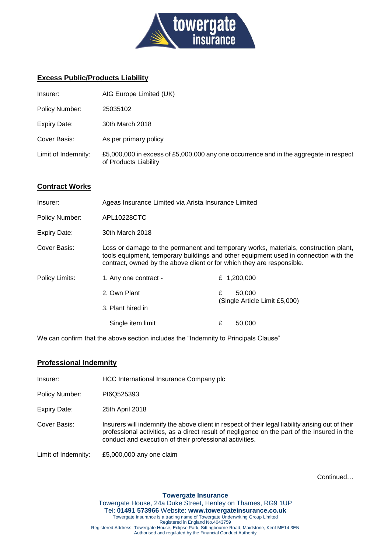

## **Excess Public/Products Liability**

| Insurer:            | AIG Europe Limited (UK)                                                                                        |
|---------------------|----------------------------------------------------------------------------------------------------------------|
| Policy Number:      | 25035102                                                                                                       |
| <b>Expiry Date:</b> | 30th March 2018                                                                                                |
| Cover Basis:        | As per primary policy                                                                                          |
| Limit of Indemnity: | £5,000,000 in excess of £5,000,000 any one occurrence and in the aggregate in respect<br>of Products Liability |

### **Contract Works**

| Insurer:            | Ageas Insurance Limited via Arista Insurance Limited                   |   |                                                                                                                                                                             |
|---------------------|------------------------------------------------------------------------|---|-----------------------------------------------------------------------------------------------------------------------------------------------------------------------------|
| Policy Number:      | APL10228CTC                                                            |   |                                                                                                                                                                             |
| <b>Expiry Date:</b> | 30th March 2018                                                        |   |                                                                                                                                                                             |
| Cover Basis:        | contract, owned by the above client or for which they are responsible. |   | Loss or damage to the permanent and temporary works, materials, construction plant,<br>tools equipment, temporary buildings and other equipment used in connection with the |
| Policy Limits:      | 1. Any one contract -                                                  |   | £ $1,200,000$                                                                                                                                                               |
|                     | 2. Own Plant                                                           | £ | 50,000<br>(Single Article Limit £5,000)                                                                                                                                     |
|                     | 3. Plant hired in                                                      |   |                                                                                                                                                                             |
|                     | Single item limit                                                      | £ | 50,000                                                                                                                                                                      |

We can confirm that the above section includes the "Indemnity to Principals Clause"

#### **Professional Indemnity**

| Insurer:            | HCC International Insurance Company plc                                                                                                                                                                                                                     |
|---------------------|-------------------------------------------------------------------------------------------------------------------------------------------------------------------------------------------------------------------------------------------------------------|
| Policy Number:      | PI6Q525393                                                                                                                                                                                                                                                  |
| <b>Expiry Date:</b> | 25th April 2018                                                                                                                                                                                                                                             |
| Cover Basis:        | Insurers will indemnify the above client in respect of their legal liability arising out of their<br>professional activities, as a direct result of negligence on the part of the Insured in the<br>conduct and execution of their professional activities. |
| Limit of Indemnity: | £5,000,000 any one claim                                                                                                                                                                                                                                    |

Continued…

**Towergate Insurance** Towergate House, 24a Duke Street, Henley on Thames, RG9 1UP Tel: **01491 573966** Website: **www.towergateinsurance.co.uk** Towergate Insurance is a trading name of Towergate Underwriting Group Limited Registered in England No.4043759 Registered Address: Towergate House, Eclipse Park, Sittingbourne Road, Maidstone, Kent ME14 3EN Authorised and regulated by the Financial Conduct Authority